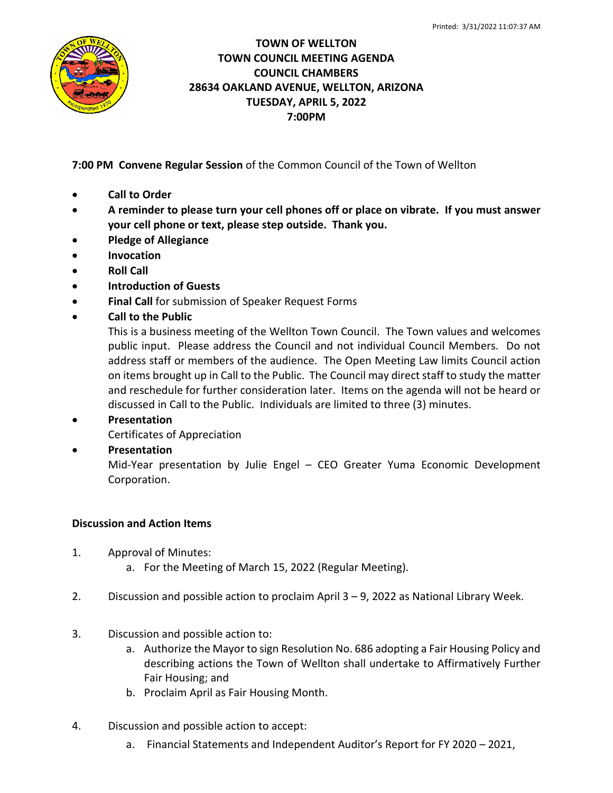

## **TOWN OF WELLTON TOWN COUNCIL MEETING AGENDA COUNCIL CHAMBERS 28634 OAKLAND AVENUE, WELLTON, ARIZONA TUESDAY, APRIL 5, 2022 7:00PM**

**7:00 PM Convene Regular Session** of the Common Council of the Town of Wellton

- **Call to Order**
- **A reminder to please turn your cell phones off or place on vibrate. If you must answer your cell phone or text, please step outside. Thank you.**
- **Pledge of Allegiance**
- **Invocation**
- **Roll Call**
- **Introduction of Guests**
- **Final Call** for submission of Speaker Request Forms
- **Call to the Public**

This is a business meeting of the Wellton Town Council. The Town values and welcomes public input. Please address the Council and not individual Council Members. Do not address staff or members of the audience. The Open Meeting Law limits Council action on items brought up in Call to the Public. The Council may direct staff to study the matter and reschedule for further consideration later. Items on the agenda will not be heard or discussed in Call to the Public. Individuals are limited to three (3) minutes.

- **Presentation**
	- Certificates of Appreciation
- **Presentation**

Mid-Year presentation by Julie Engel – CEO Greater Yuma Economic Development Corporation.

## **Discussion and Action Items**

- 1. Approval of Minutes:
	- a. For the Meeting of March 15, 2022 (Regular Meeting).
- 2. Discussion and possible action to proclaim April 3 9, 2022 as National Library Week.
- 3. Discussion and possible action to:
	- a. Authorize the Mayor to sign Resolution No. 686 adopting a Fair Housing Policy and describing actions the Town of Wellton shall undertake to Affirmatively Further Fair Housing; and
	- b. Proclaim April as Fair Housing Month.
- 4. Discussion and possible action to accept:
	- a. Financial Statements and Independent Auditor's Report for FY 2020 2021,